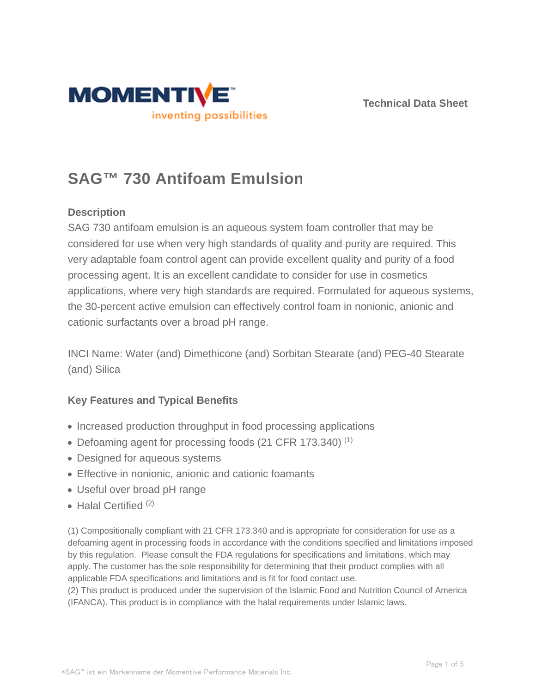



# **SAG™ 730 Antifoam Emulsion**

# **Description**

SAG 730 antifoam emulsion is an aqueous system foam controller that may be considered for use when very high standards of quality and purity are required. This very adaptable foam control agent can provide excellent quality and purity of a food processing agent. It is an excellent candidate to consider for use in cosmetics applications, where very high standards are required. Formulated for aqueous systems, the 30-percent active emulsion can effectively control foam in nonionic, anionic and cationic surfactants over a broad pH range.

INCI Name: Water (and) Dimethicone (and) Sorbitan Stearate (and) PEG-40 Stearate (and) Silica

# **Key Features and Typical Benefits**

- Increased production throughput in food processing applications
- Defoaming agent for processing foods (21 CFR 173.340)<sup>(1)</sup>
- Designed for aqueous systems
- Effective in nonionic, anionic and cationic foamants
- Useful over broad pH range
- $\bullet$  Halal Certified  $(2)$

(1) Compositionally compliant with 21 CFR 173.340 and is appropriate for consideration for use as a defoaming agent in processing foods in accordance with the conditions specified and limitations imposed by this regulation. Please consult the FDA regulations for specifications and limitations, which may apply. The customer has the sole responsibility for determining that their product complies with all applicable FDA specifications and limitations and is fit for food contact use.

(2) This product is produced under the supervision of the Islamic Food and Nutrition Council of America (IFANCA). This product is in compliance with the halal requirements under Islamic laws.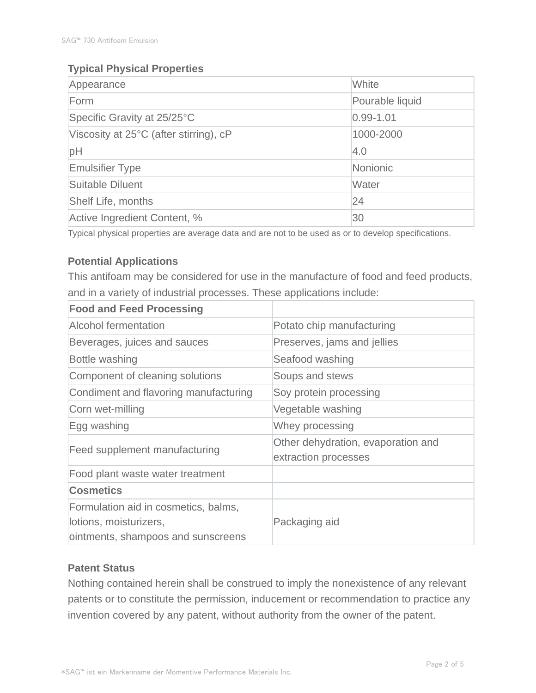# **Typical Physical Properties**

| Appearance                             | White           |  |
|----------------------------------------|-----------------|--|
| Form                                   | Pourable liquid |  |
| Specific Gravity at 25/25°C            | $0.99 - 1.01$   |  |
| Viscosity at 25°C (after stirring), cP | 1000-2000       |  |
| pH                                     | 4.0             |  |
| <b>Emulsifier Type</b>                 | Nonionic        |  |
| Suitable Diluent                       | Water           |  |
| <b>Shelf Life, months</b>              | 24              |  |
| Active Ingredient Content, %           | 30              |  |

Typical physical properties are average data and are not to be used as or to develop specifications.

# **Potential Applications**

This antifoam may be considered for use in the manufacture of food and feed products, and in a variety of industrial processes. These applications include:

| <b>Food and Feed Processing</b>                                                                      |                                                            |  |
|------------------------------------------------------------------------------------------------------|------------------------------------------------------------|--|
| Alcohol fermentation                                                                                 | Potato chip manufacturing                                  |  |
| Beverages, juices and sauces                                                                         | Preserves, jams and jellies                                |  |
| Bottle washing                                                                                       | Seafood washing                                            |  |
| Component of cleaning solutions                                                                      | Soups and stews                                            |  |
| Condiment and flavoring manufacturing                                                                | Soy protein processing                                     |  |
| Corn wet-milling                                                                                     | Vegetable washing                                          |  |
| Egg washing                                                                                          | Whey processing                                            |  |
| Feed supplement manufacturing                                                                        | Other dehydration, evaporation and<br>extraction processes |  |
| Food plant waste water treatment                                                                     |                                                            |  |
| <b>Cosmetics</b>                                                                                     |                                                            |  |
| Formulation aid in cosmetics, balms,<br>lotions, moisturizers,<br>ointments, shampoos and sunscreens | Packaging aid                                              |  |

# **Patent Status**

Nothing contained herein shall be construed to imply the nonexistence of any relevant patents or to constitute the permission, inducement or recommendation to practice any invention covered by any patent, without authority from the owner of the patent.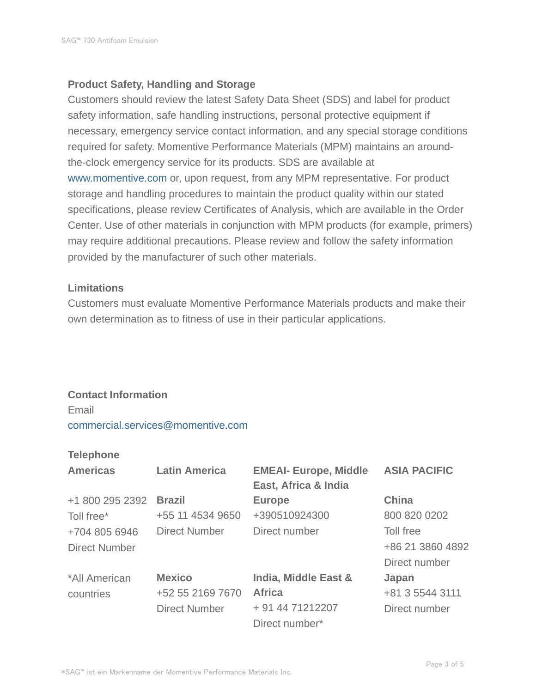#### **Product Safety, Handling and Storage**

Customers should review the latest Safety Data Sheet (SDS) and label for product safety information, safe handling instructions, personal protective equipment if necessary, emergency service contact information, and any special storage conditions required for safety. Momentive Performance Materials (MPM) maintains an aroundthe-clock emergency service for its products. SDS are available at www.momentive.com or, upon request, from any MPM representative. For product storage and handling procedures to maintain the product quality within our stated specifications, please review Certificates of Analysis, which are available in the Order Center. Use of other materials in conjunction with MPM products (for example, primers) may require additional precautions. Please review and follow the safety information provided by the manufacturer of such other materials.

#### **Limitations**

Customers must evaluate Momentive Performance Materials products and make their own determination as to fitness of use in their particular applications.

# **Contact Information**

Email commercial.services@momentive.com

#### **Telephone**

| <b>Americas</b>      | <b>Latin America</b> | <b>EMEAI- Europe, Middle</b><br>East, Africa & India | <b>ASIA PACIFIC</b> |
|----------------------|----------------------|------------------------------------------------------|---------------------|
| +1 800 295 2392      | <b>Brazil</b>        | <b>Europe</b>                                        | <b>China</b>        |
| Toll free*           | +55 11 4534 9650     | +390510924300                                        | 800 820 0202        |
| +704 805 6946        | <b>Direct Number</b> | Direct number                                        | Toll free           |
| <b>Direct Number</b> |                      |                                                      | +86 21 3860 4892    |
|                      |                      |                                                      | Direct number       |
| *All American        | <b>Mexico</b>        | India, Middle East &                                 | Japan               |
| countries            | +52 55 2169 7670     | <b>Africa</b>                                        | +81 3 5544 3111     |
|                      | <b>Direct Number</b> | + 91 44 71212207                                     | Direct number       |
|                      |                      | Direct number*                                       |                     |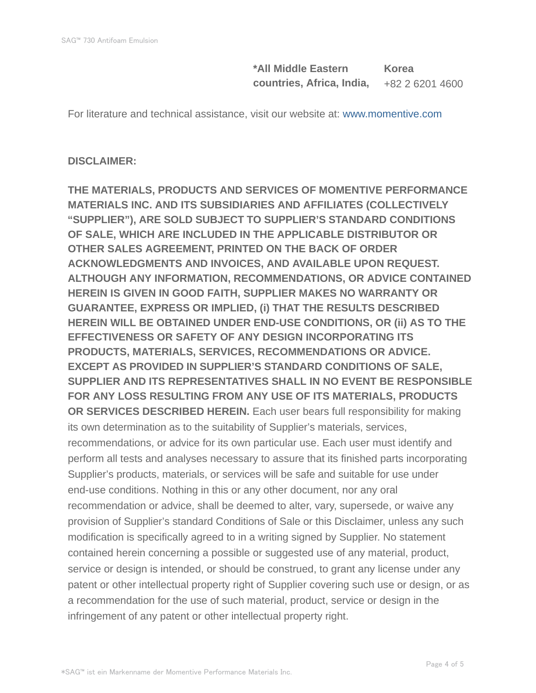**\*All Middle Eastern countries, Africa, India, Korea** +82 2 6201 4600

For literature and technical assistance, visit our website at: www.momentive.com

# **DISCLAIMER:**

**THE MATERIALS, PRODUCTS AND SERVICES OF MOMENTIVE PERFORMANCE MATERIALS INC. AND ITS SUBSIDIARIES AND AFFILIATES (COLLECTIVELY "SUPPLIER"), ARE SOLD SUBJECT TO SUPPLIER'S STANDARD CONDITIONS OF SALE, WHICH ARE INCLUDED IN THE APPLICABLE DISTRIBUTOR OR OTHER SALES AGREEMENT, PRINTED ON THE BACK OF ORDER ACKNOWLEDGMENTS AND INVOICES, AND AVAILABLE UPON REQUEST. ALTHOUGH ANY INFORMATION, RECOMMENDATIONS, OR ADVICE CONTAINED HEREIN IS GIVEN IN GOOD FAITH, SUPPLIER MAKES NO WARRANTY OR GUARANTEE, EXPRESS OR IMPLIED, (i) THAT THE RESULTS DESCRIBED HEREIN WILL BE OBTAINED UNDER END-USE CONDITIONS, OR (ii) AS TO THE EFFECTIVENESS OR SAFETY OF ANY DESIGN INCORPORATING ITS PRODUCTS, MATERIALS, SERVICES, RECOMMENDATIONS OR ADVICE. EXCEPT AS PROVIDED IN SUPPLIER'S STANDARD CONDITIONS OF SALE, SUPPLIER AND ITS REPRESENTATIVES SHALL IN NO EVENT BE RESPONSIBLE FOR ANY LOSS RESULTING FROM ANY USE OF ITS MATERIALS, PRODUCTS OR SERVICES DESCRIBED HEREIN.** Each user bears full responsibility for making its own determination as to the suitability of Supplier's materials, services, recommendations, or advice for its own particular use. Each user must identify and perform all tests and analyses necessary to assure that its finished parts incorporating Supplier's products, materials, or services will be safe and suitable for use under end-use conditions. Nothing in this or any other document, nor any oral recommendation or advice, shall be deemed to alter, vary, supersede, or waive any provision of Supplier's standard Conditions of Sale or this Disclaimer, unless any such modification is specifically agreed to in a writing signed by Supplier. No statement contained herein concerning a possible or suggested use of any material, product, service or design is intended, or should be construed, to grant any license under any patent or other intellectual property right of Supplier covering such use or design, or as a recommendation for the use of such material, product, service or design in the infringement of any patent or other intellectual property right.